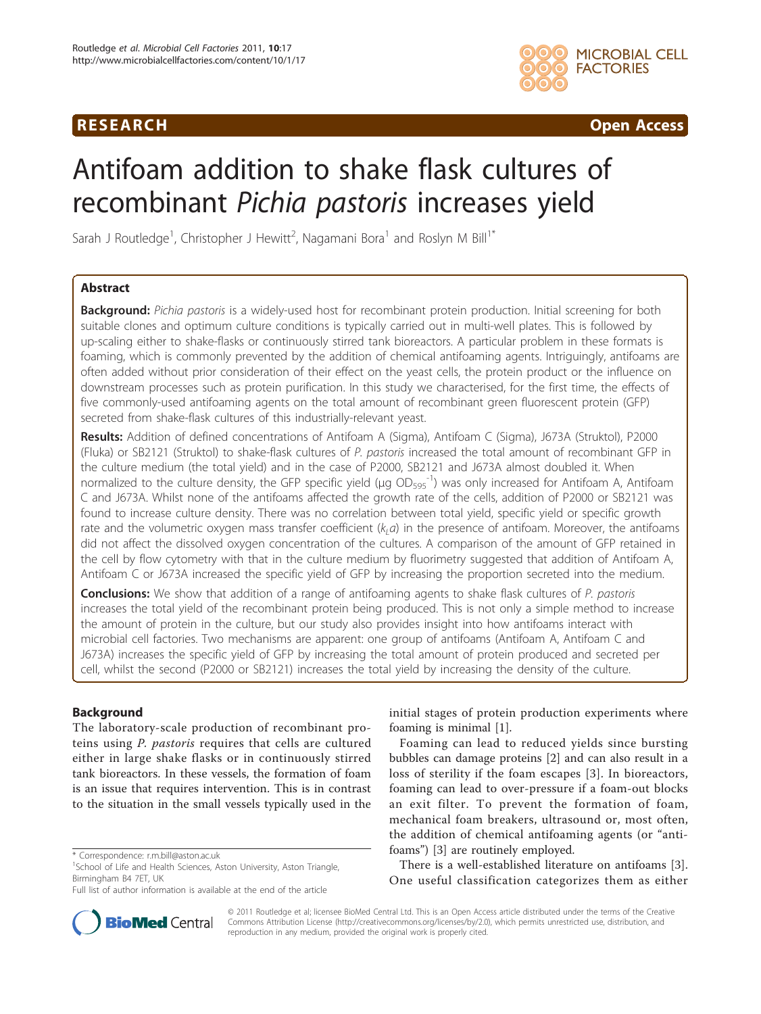## **RESEARCH Open Access**



# Antifoam addition to shake flask cultures of recombinant Pichia pastoris increases yield

Sarah J Routledge<sup>1</sup>, Christopher J Hewitt<sup>2</sup>, Nagamani Bora<sup>1</sup> and Roslyn M Bill<sup>1\*</sup>

## Abstract

Background: Pichia pastoris is a widely-used host for recombinant protein production. Initial screening for both suitable clones and optimum culture conditions is typically carried out in multi-well plates. This is followed by up-scaling either to shake-flasks or continuously stirred tank bioreactors. A particular problem in these formats is foaming, which is commonly prevented by the addition of chemical antifoaming agents. Intriguingly, antifoams are often added without prior consideration of their effect on the yeast cells, the protein product or the influence on downstream processes such as protein purification. In this study we characterised, for the first time, the effects of five commonly-used antifoaming agents on the total amount of recombinant green fluorescent protein (GFP) secreted from shake-flask cultures of this industrially-relevant yeast.

Results: Addition of defined concentrations of Antifoam A (Sigma), Antifoam C (Sigma), J673A (Struktol), P2000 (Fluka) or SB2121 (Struktol) to shake-flask cultures of P. pastoris increased the total amount of recombinant GFP in the culture medium (the total yield) and in the case of P2000, SB2121 and J673A almost doubled it. When normalized to the culture density, the GFP specific yield (μg OD<sub>595</sub>-1) was only increased for Antifoam A, Antifoam C and J673A. Whilst none of the antifoams affected the growth rate of the cells, addition of P2000 or SB2121 was found to increase culture density. There was no correlation between total yield, specific yield or specific growth rate and the volumetric oxygen mass transfer coefficient  $(k, a)$  in the presence of antifoam. Moreover, the antifoams did not affect the dissolved oxygen concentration of the cultures. A comparison of the amount of GFP retained in the cell by flow cytometry with that in the culture medium by fluorimetry suggested that addition of Antifoam A, Antifoam C or J673A increased the specific yield of GFP by increasing the proportion secreted into the medium.

**Conclusions:** We show that addition of a range of antifoaming agents to shake flask cultures of P. pastoris increases the total yield of the recombinant protein being produced. This is not only a simple method to increase the amount of protein in the culture, but our study also provides insight into how antifoams interact with microbial cell factories. Two mechanisms are apparent: one group of antifoams (Antifoam A, Antifoam C and J673A) increases the specific yield of GFP by increasing the total amount of protein produced and secreted per cell, whilst the second (P2000 or SB2121) increases the total yield by increasing the density of the culture.

## Background

The laboratory-scale production of recombinant proteins using P. pastoris requires that cells are cultured either in large shake flasks or in continuously stirred tank bioreactors. In these vessels, the formation of foam is an issue that requires intervention. This is in contrast to the situation in the small vessels typically used in the



Foaming can lead to reduced yields since bursting bubbles can damage proteins [[2\]](#page-9-0) and can also result in a loss of sterility if the foam escapes [[3\]](#page-9-0). In bioreactors, foaming can lead to over-pressure if a foam-out blocks an exit filter. To prevent the formation of foam, mechanical foam breakers, ultrasound or, most often, the addition of chemical antifoaming agents (or "antifoams") [\[3\]](#page-9-0) are routinely employed.

There is a well-established literature on antifoams [\[3](#page-9-0)]. One useful classification categorizes them as either



© 2011 Routledge et al; licensee BioMed Central Ltd. This is an Open Access article distributed under the terms of the Creative Commons Attribution License [\(http://creativecommons.org/licenses/by/2.0](http://creativecommons.org/licenses/by/2.0)), which permits unrestricted use, distribution, and reproduction in any medium, provided the original work is properly cited.

<sup>\*</sup> Correspondence: [r.m.bill@aston.ac.uk](mailto:r.m.bill@aston.ac.uk)

<sup>&</sup>lt;sup>1</sup>School of Life and Health Sciences, Aston University, Aston Triangle, Birmingham B4 7ET, UK

Full list of author information is available at the end of the article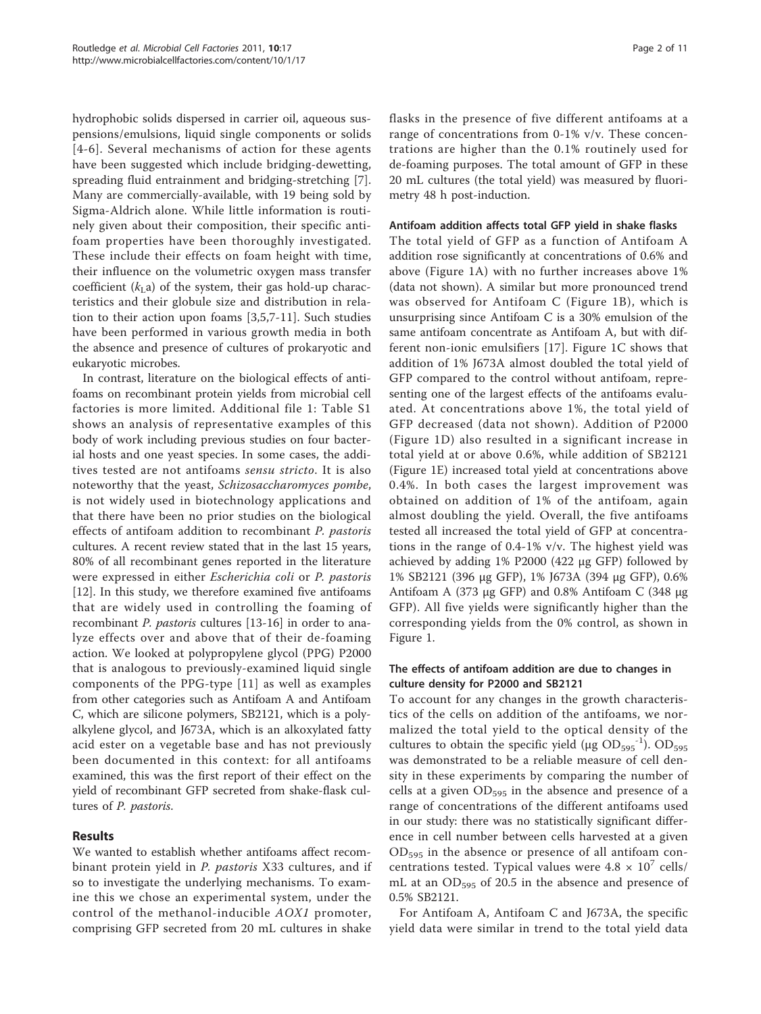hydrophobic solids dispersed in carrier oil, aqueous suspensions/emulsions, liquid single components or solids [[4-6\]](#page-9-0). Several mechanisms of action for these agents have been suggested which include bridging-dewetting, spreading fluid entrainment and bridging-stretching [\[7](#page-9-0)]. Many are commercially-available, with 19 being sold by Sigma-Aldrich alone. While little information is routinely given about their composition, their specific antifoam properties have been thoroughly investigated. These include their effects on foam height with time, their influence on the volumetric oxygen mass transfer coefficient  $(k<sub>L</sub>a)$  of the system, their gas hold-up characteristics and their globule size and distribution in relation to their action upon foams [\[3,5](#page-9-0),[7-11](#page-9-0)]. Such studies have been performed in various growth media in both the absence and presence of cultures of prokaryotic and eukaryotic microbes.

In contrast, literature on the biological effects of antifoams on recombinant protein yields from microbial cell factories is more limited. Additional file [1:](#page-9-0) Table S1 shows an analysis of representative examples of this body of work including previous studies on four bacterial hosts and one yeast species. In some cases, the additives tested are not antifoams sensu stricto. It is also noteworthy that the yeast, Schizosaccharomyces pombe, is not widely used in biotechnology applications and that there have been no prior studies on the biological effects of antifoam addition to recombinant P. pastoris cultures. A recent review stated that in the last 15 years, 80% of all recombinant genes reported in the literature were expressed in either Escherichia coli or P. pastoris [[12\]](#page-9-0). In this study, we therefore examined five antifoams that are widely used in controlling the foaming of recombinant P. pastoris cultures [[13](#page-9-0)-[16\]](#page-9-0) in order to analyze effects over and above that of their de-foaming action. We looked at polypropylene glycol (PPG) P2000 that is analogous to previously-examined liquid single components of the PPG-type [[11](#page-9-0)] as well as examples from other categories such as Antifoam A and Antifoam C, which are silicone polymers, SB2121, which is a polyalkylene glycol, and J673A, which is an alkoxylated fatty acid ester on a vegetable base and has not previously been documented in this context: for all antifoams examined, this was the first report of their effect on the yield of recombinant GFP secreted from shake-flask cultures of P. pastoris.

## Results

We wanted to establish whether antifoams affect recombinant protein yield in *P. pastoris* X33 cultures, and if so to investigate the underlying mechanisms. To examine this we chose an experimental system, under the control of the methanol-inducible AOX1 promoter, comprising GFP secreted from 20 mL cultures in shake flasks in the presence of five different antifoams at a range of concentrations from 0-1% v/v. These concentrations are higher than the 0.1% routinely used for de-foaming purposes. The total amount of GFP in these 20 mL cultures (the total yield) was measured by fluorimetry 48 h post-induction.

#### Antifoam addition affects total GFP yield in shake flasks

The total yield of GFP as a function of Antifoam A addition rose significantly at concentrations of 0.6% and above (Figure [1A](#page-2-0)) with no further increases above 1% (data not shown). A similar but more pronounced trend was observed for Antifoam C (Figure [1B\)](#page-2-0), which is unsurprising since Antifoam C is a 30% emulsion of the same antifoam concentrate as Antifoam A, but with different non-ionic emulsifiers [[17](#page-9-0)]. Figure [1C](#page-2-0) shows that addition of 1% J673A almost doubled the total yield of GFP compared to the control without antifoam, representing one of the largest effects of the antifoams evaluated. At concentrations above 1%, the total yield of GFP decreased (data not shown). Addition of P2000 (Figure [1D\)](#page-2-0) also resulted in a significant increase in total yield at or above 0.6%, while addition of SB2121 (Figure [1E\)](#page-2-0) increased total yield at concentrations above 0.4%. In both cases the largest improvement was obtained on addition of 1% of the antifoam, again almost doubling the yield. Overall, the five antifoams tested all increased the total yield of GFP at concentrations in the range of 0.4-1% v/v. The highest yield was achieved by adding 1% P2000 (422 μg GFP) followed by 1% SB2121 (396 μg GFP), 1% J673A (394 μg GFP), 0.6% Antifoam A (373 μg GFP) and 0.8% Antifoam C (348 μg GFP). All five yields were significantly higher than the corresponding yields from the 0% control, as shown in Figure [1](#page-2-0).

## The effects of antifoam addition are due to changes in culture density for P2000 and SB2121

To account for any changes in the growth characteristics of the cells on addition of the antifoams, we normalized the total yield to the optical density of the cultures to obtain the specific yield ( $\mu$ g OD<sub>595</sub><sup>-1</sup>). OD<sub>595</sub> was demonstrated to be a reliable measure of cell density in these experiments by comparing the number of cells at a given  $OD_{595}$  in the absence and presence of a range of concentrations of the different antifoams used in our study: there was no statistically significant difference in cell number between cells harvested at a given OD595 in the absence or presence of all antifoam concentrations tested. Typical values were  $4.8 \times 10^{7}$  cells/ mL at an OD<sub>595</sub> of 20.5 in the absence and presence of 0.5% SB2121.

For Antifoam A, Antifoam C and J673A, the specific yield data were similar in trend to the total yield data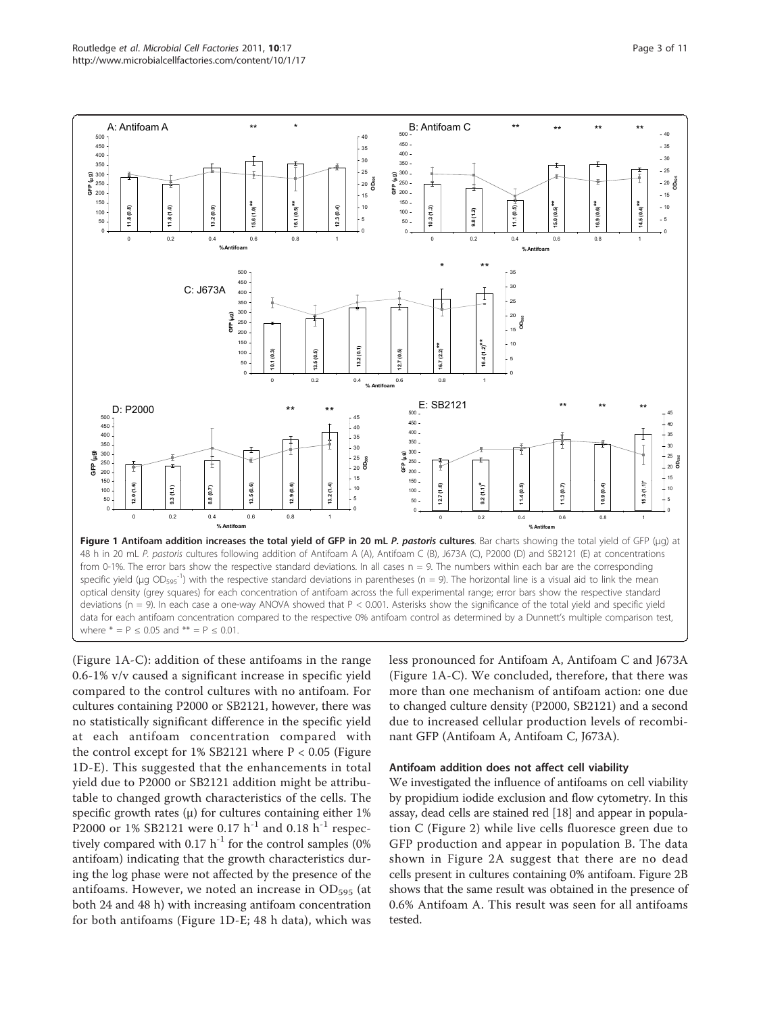<span id="page-2-0"></span>

(Figure 1A-C): addition of these antifoams in the range 0.6-1% v/v caused a significant increase in specific yield compared to the control cultures with no antifoam. For cultures containing P2000 or SB2121, however, there was no statistically significant difference in the specific yield at each antifoam concentration compared with the control except for  $1\%$  SB2121 where  $P < 0.05$  (Figure 1D-E). This suggested that the enhancements in total yield due to P2000 or SB2121 addition might be attributable to changed growth characteristics of the cells. The specific growth rates  $(\mu)$  for cultures containing either 1% P2000 or 1% SB2121 were 0.17  $h^{-1}$  and 0.18  $h^{-1}$  respectively compared with  $0.17 h^{-1}$  for the control samples (0%) antifoam) indicating that the growth characteristics during the log phase were not affected by the presence of the antifoams. However, we noted an increase in  $OD_{595}$  (at both 24 and 48 h) with increasing antifoam concentration for both antifoams (Figure 1D-E; 48 h data), which was

less pronounced for Antifoam A, Antifoam C and J673A (Figure 1A-C). We concluded, therefore, that there was more than one mechanism of antifoam action: one due to changed culture density (P2000, SB2121) and a second due to increased cellular production levels of recombinant GFP (Antifoam A, Antifoam C, J673A).

#### Antifoam addition does not affect cell viability

We investigated the influence of antifoams on cell viability by propidium iodide exclusion and flow cytometry. In this assay, dead cells are stained red [\[18](#page-9-0)] and appear in population C (Figure [2\)](#page-3-0) while live cells fluoresce green due to GFP production and appear in population B. The data shown in Figure [2A](#page-3-0) suggest that there are no dead cells present in cultures containing 0% antifoam. Figure [2B](#page-3-0) shows that the same result was obtained in the presence of 0.6% Antifoam A. This result was seen for all antifoams tested.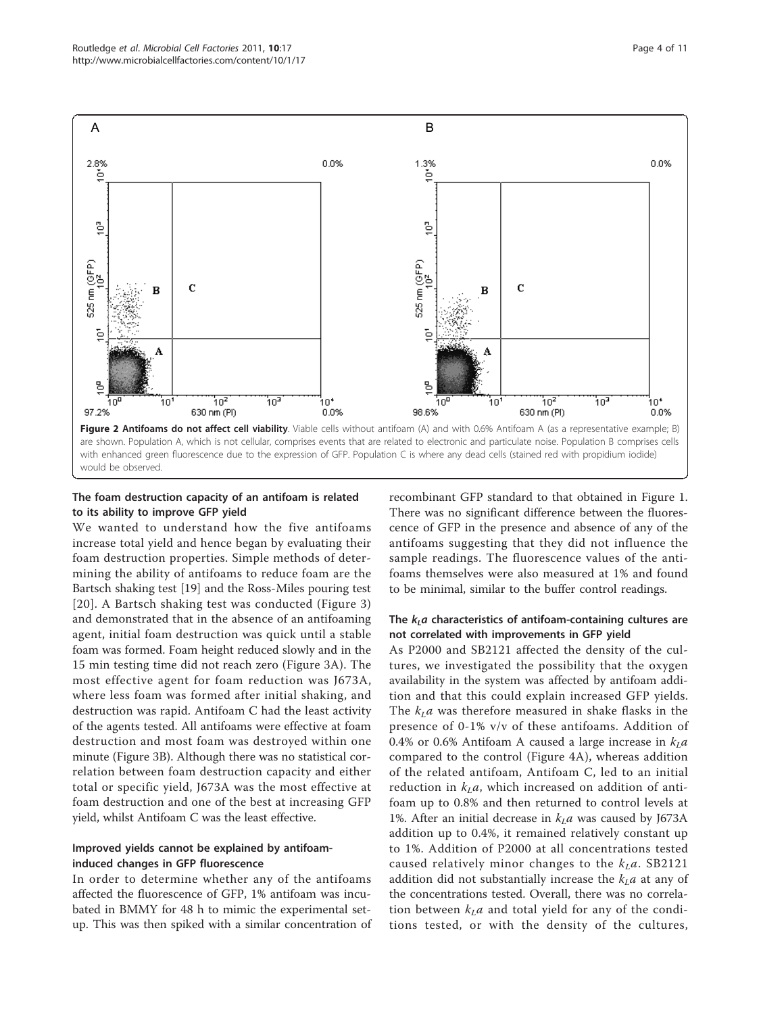<span id="page-3-0"></span>

## The foam destruction capacity of an antifoam is related to its ability to improve GFP yield

We wanted to understand how the five antifoams increase total yield and hence began by evaluating their foam destruction properties. Simple methods of determining the ability of antifoams to reduce foam are the Bartsch shaking test [\[19](#page-9-0)] and the Ross-Miles pouring test [[20\]](#page-9-0). A Bartsch shaking test was conducted (Figure [3](#page-4-0)) and demonstrated that in the absence of an antifoaming agent, initial foam destruction was quick until a stable foam was formed. Foam height reduced slowly and in the 15 min testing time did not reach zero (Figure [3A\)](#page-4-0). The most effective agent for foam reduction was J673A, where less foam was formed after initial shaking, and destruction was rapid. Antifoam C had the least activity of the agents tested. All antifoams were effective at foam destruction and most foam was destroyed within one minute (Figure [3B](#page-4-0)). Although there was no statistical correlation between foam destruction capacity and either total or specific yield, J673A was the most effective at foam destruction and one of the best at increasing GFP yield, whilst Antifoam C was the least effective.

## Improved yields cannot be explained by antifoaminduced changes in GFP fluorescence

In order to determine whether any of the antifoams affected the fluorescence of GFP, 1% antifoam was incubated in BMMY for 48 h to mimic the experimental setup. This was then spiked with a similar concentration of

recombinant GFP standard to that obtained in Figure [1](#page-2-0). There was no significant difference between the fluorescence of GFP in the presence and absence of any of the antifoams suggesting that they did not influence the sample readings. The fluorescence values of the antifoams themselves were also measured at 1% and found to be minimal, similar to the buffer control readings.

## The  $k<sub>L</sub>a$  characteristics of antifoam-containing cultures are not correlated with improvements in GFP yield

As P2000 and SB2121 affected the density of the cultures, we investigated the possibility that the oxygen availability in the system was affected by antifoam addition and that this could explain increased GFP yields. The  $k<sub>L</sub>a$  was therefore measured in shake flasks in the presence of 0-1% v/v of these antifoams. Addition of 0.4% or 0.6% Antifoam A caused a large increase in  $k<sub>L</sub>a$ compared to the control (Figure [4A\)](#page-5-0), whereas addition of the related antifoam, Antifoam C, led to an initial reduction in  $k<sub>L</sub>a$ , which increased on addition of antifoam up to 0.8% and then returned to control levels at 1%. After an initial decrease in  $k<sub>L</sub>a$  was caused by J673A addition up to 0.4%, it remained relatively constant up to 1%. Addition of P2000 at all concentrations tested caused relatively minor changes to the  $k<sub>L</sub>a$ . SB2121 addition did not substantially increase the  $k<sub>L</sub>a$  at any of the concentrations tested. Overall, there was no correlation between  $k<sub>L</sub>a$  and total yield for any of the conditions tested, or with the density of the cultures,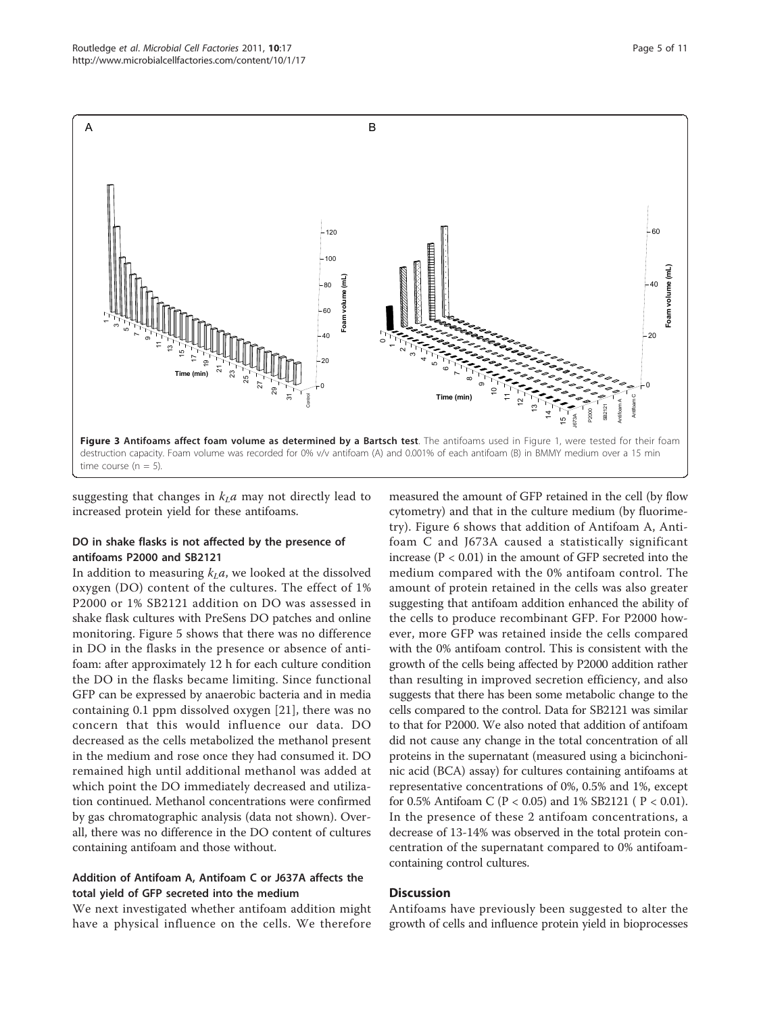<span id="page-4-0"></span>

suggesting that changes in  $k<sub>L</sub>a$  may not directly lead to increased protein yield for these antifoams.

## DO in shake flasks is not affected by the presence of antifoams P2000 and SB2121

In addition to measuring  $k<sub>L</sub>a$ , we looked at the dissolved oxygen (DO) content of the cultures. The effect of 1% P2000 or 1% SB2121 addition on DO was assessed in shake flask cultures with PreSens DO patches and online monitoring. Figure [5](#page-6-0) shows that there was no difference in DO in the flasks in the presence or absence of antifoam: after approximately 12 h for each culture condition the DO in the flasks became limiting. Since functional GFP can be expressed by anaerobic bacteria and in media containing 0.1 ppm dissolved oxygen [\[21](#page-9-0)], there was no concern that this would influence our data. DO decreased as the cells metabolized the methanol present in the medium and rose once they had consumed it. DO remained high until additional methanol was added at which point the DO immediately decreased and utilization continued. Methanol concentrations were confirmed by gas chromatographic analysis (data not shown). Overall, there was no difference in the DO content of cultures containing antifoam and those without.

## Addition of Antifoam A, Antifoam C or J637A affects the total yield of GFP secreted into the medium

We next investigated whether antifoam addition might have a physical influence on the cells. We therefore

measured the amount of GFP retained in the cell (by flow cytometry) and that in the culture medium (by fluorimetry). Figure [6](#page-7-0) shows that addition of Antifoam A, Antifoam C and J673A caused a statistically significant increase ( $P < 0.01$ ) in the amount of GFP secreted into the medium compared with the 0% antifoam control. The amount of protein retained in the cells was also greater suggesting that antifoam addition enhanced the ability of the cells to produce recombinant GFP. For P2000 however, more GFP was retained inside the cells compared with the 0% antifoam control. This is consistent with the growth of the cells being affected by P2000 addition rather than resulting in improved secretion efficiency, and also suggests that there has been some metabolic change to the cells compared to the control. Data for SB2121 was similar to that for P2000. We also noted that addition of antifoam did not cause any change in the total concentration of all proteins in the supernatant (measured using a bicinchoninic acid (BCA) assay) for cultures containing antifoams at representative concentrations of 0%, 0.5% and 1%, except for 0.5% Antifoam C (P < 0.05) and 1% SB2121 ( P < 0.01). In the presence of these 2 antifoam concentrations, a decrease of 13-14% was observed in the total protein concentration of the supernatant compared to 0% antifoamcontaining control cultures.

## **Discussion**

Antifoams have previously been suggested to alter the growth of cells and influence protein yield in bioprocesses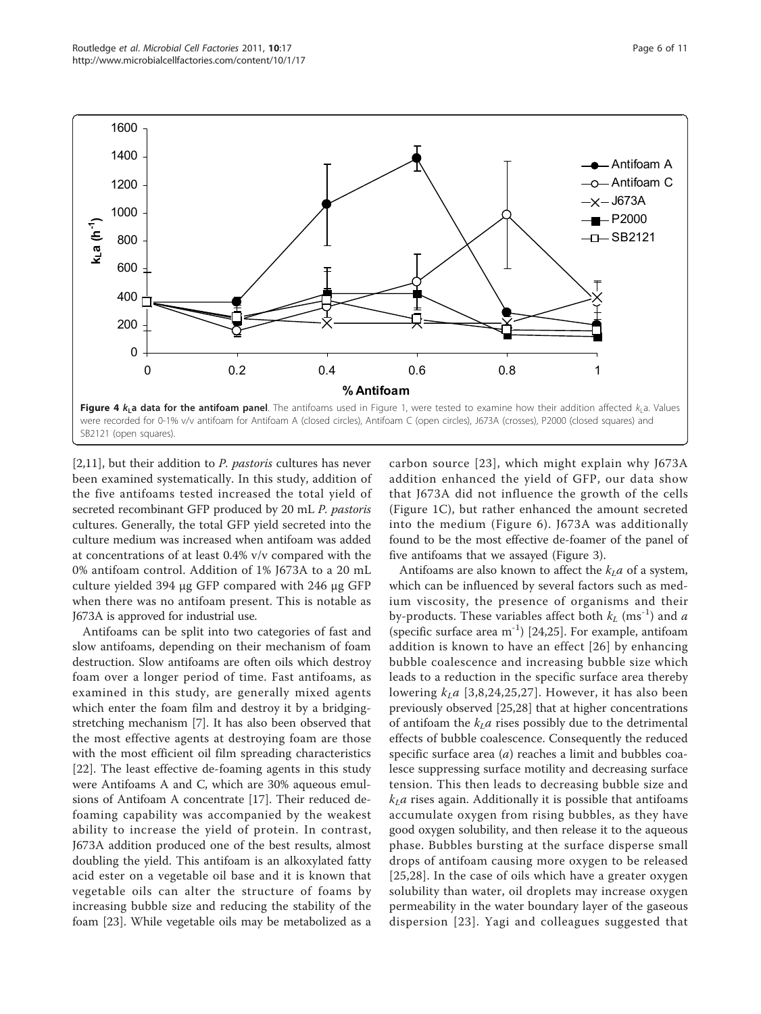<span id="page-5-0"></span>

 $[2,11]$  $[2,11]$ , but their addition to *P. pastoris* cultures has never been examined systematically. In this study, addition of the five antifoams tested increased the total yield of secreted recombinant GFP produced by 20 mL P. pastoris cultures. Generally, the total GFP yield secreted into the culture medium was increased when antifoam was added at concentrations of at least 0.4% v/v compared with the 0% antifoam control. Addition of 1% J673A to a 20 mL culture yielded 394 μg GFP compared with 246 μg GFP when there was no antifoam present. This is notable as J673A is approved for industrial use.

Antifoams can be split into two categories of fast and slow antifoams, depending on their mechanism of foam destruction. Slow antifoams are often oils which destroy foam over a longer period of time. Fast antifoams, as examined in this study, are generally mixed agents which enter the foam film and destroy it by a bridgingstretching mechanism [\[7](#page-9-0)]. It has also been observed that the most effective agents at destroying foam are those with the most efficient oil film spreading characteristics [[22\]](#page-9-0). The least effective de-foaming agents in this study were Antifoams A and C, which are 30% aqueous emulsions of Antifoam A concentrate [[17](#page-9-0)]. Their reduced defoaming capability was accompanied by the weakest ability to increase the yield of protein. In contrast, J673A addition produced one of the best results, almost doubling the yield. This antifoam is an alkoxylated fatty acid ester on a vegetable oil base and it is known that vegetable oils can alter the structure of foams by increasing bubble size and reducing the stability of the foam [[23\]](#page-9-0). While vegetable oils may be metabolized as a

carbon source [[23\]](#page-9-0), which might explain why J673A addition enhanced the yield of GFP, our data show that J673A did not influence the growth of the cells (Figure [1C](#page-2-0)), but rather enhanced the amount secreted into the medium (Figure [6\)](#page-7-0). J673A was additionally found to be the most effective de-foamer of the panel of five antifoams that we assayed (Figure [3](#page-4-0)).

Antifoams are also known to affect the  $k<sub>I</sub>a$  of a system, which can be influenced by several factors such as medium viscosity, the presence of organisms and their by-products. These variables affect both  $k_L$  (ms<sup>-1</sup>) and a (specific surface area  $m^{-1}$ ) [\[24,25](#page-9-0)]. For example, antifoam addition is known to have an effect [[26\]](#page-9-0) by enhancing bubble coalescence and increasing bubble size which leads to a reduction in the specific surface area thereby lowering  $k<sub>L</sub>a$  [[3,8,24](#page-9-0),[25](#page-9-0),[27](#page-9-0)]. However, it has also been previously observed [[25](#page-9-0),[28\]](#page-9-0) that at higher concentrations of antifoam the  $k<sub>L</sub>a$  rises possibly due to the detrimental effects of bubble coalescence. Consequently the reduced specific surface area  $(a)$  reaches a limit and bubbles coalesce suppressing surface motility and decreasing surface tension. This then leads to decreasing bubble size and  $k<sub>L</sub>a$  rises again. Additionally it is possible that antifoams accumulate oxygen from rising bubbles, as they have good oxygen solubility, and then release it to the aqueous phase. Bubbles bursting at the surface disperse small drops of antifoam causing more oxygen to be released [[25](#page-9-0),[28\]](#page-9-0). In the case of oils which have a greater oxygen solubility than water, oil droplets may increase oxygen permeability in the water boundary layer of the gaseous dispersion [[23](#page-9-0)]. Yagi and colleagues suggested that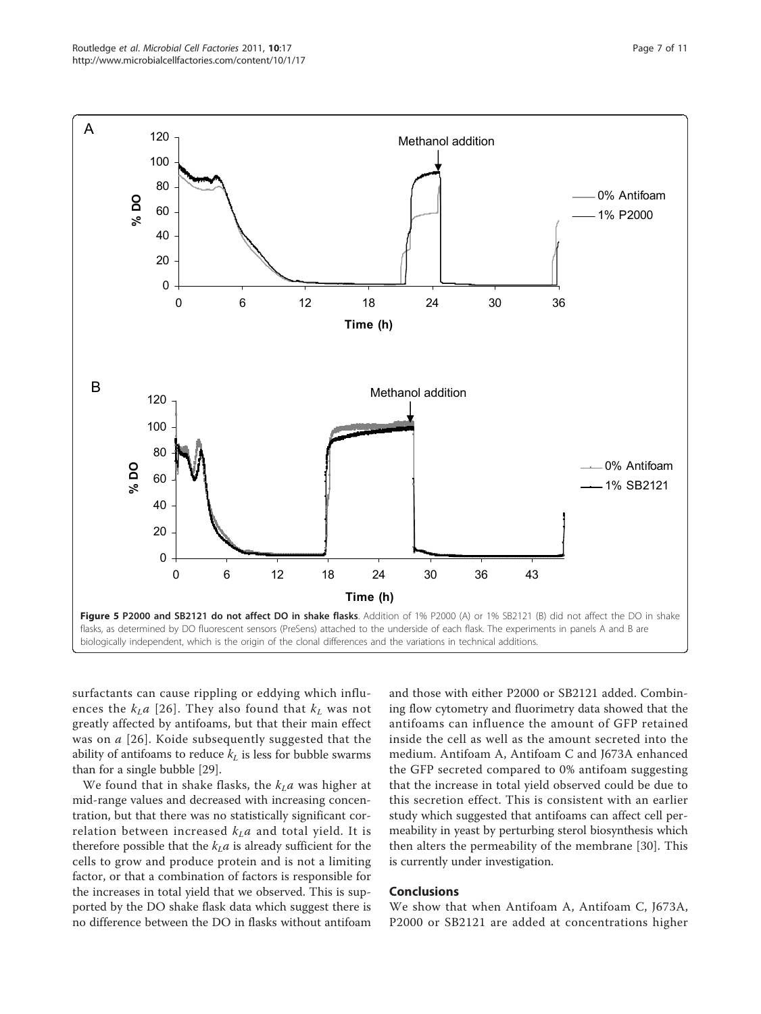<span id="page-6-0"></span>

surfactants can cause rippling or eddying which influences the  $k<sub>L</sub>a$  [[26](#page-9-0)]. They also found that  $k<sub>L</sub>$  was not greatly affected by antifoams, but that their main effect was on a [\[26\]](#page-9-0). Koide subsequently suggested that the ability of antifoams to reduce  $k_L$  is less for bubble swarms than for a single bubble [\[29](#page-9-0)].

We found that in shake flasks, the  $k<sub>L</sub>a$  was higher at mid-range values and decreased with increasing concentration, but that there was no statistically significant correlation between increased  $k<sub>L</sub>a$  and total yield. It is therefore possible that the  $k<sub>L</sub>a$  is already sufficient for the cells to grow and produce protein and is not a limiting factor, or that a combination of factors is responsible for the increases in total yield that we observed. This is supported by the DO shake flask data which suggest there is no difference between the DO in flasks without antifoam and those with either P2000 or SB2121 added. Combining flow cytometry and fluorimetry data showed that the antifoams can influence the amount of GFP retained inside the cell as well as the amount secreted into the medium. Antifoam A, Antifoam C and J673A enhanced the GFP secreted compared to 0% antifoam suggesting that the increase in total yield observed could be due to this secretion effect. This is consistent with an earlier study which suggested that antifoams can affect cell permeability in yeast by perturbing sterol biosynthesis which then alters the permeability of the membrane [[30\]](#page-9-0). This is currently under investigation.

## Conclusions

We show that when Antifoam A, Antifoam C, J673A, P2000 or SB2121 are added at concentrations higher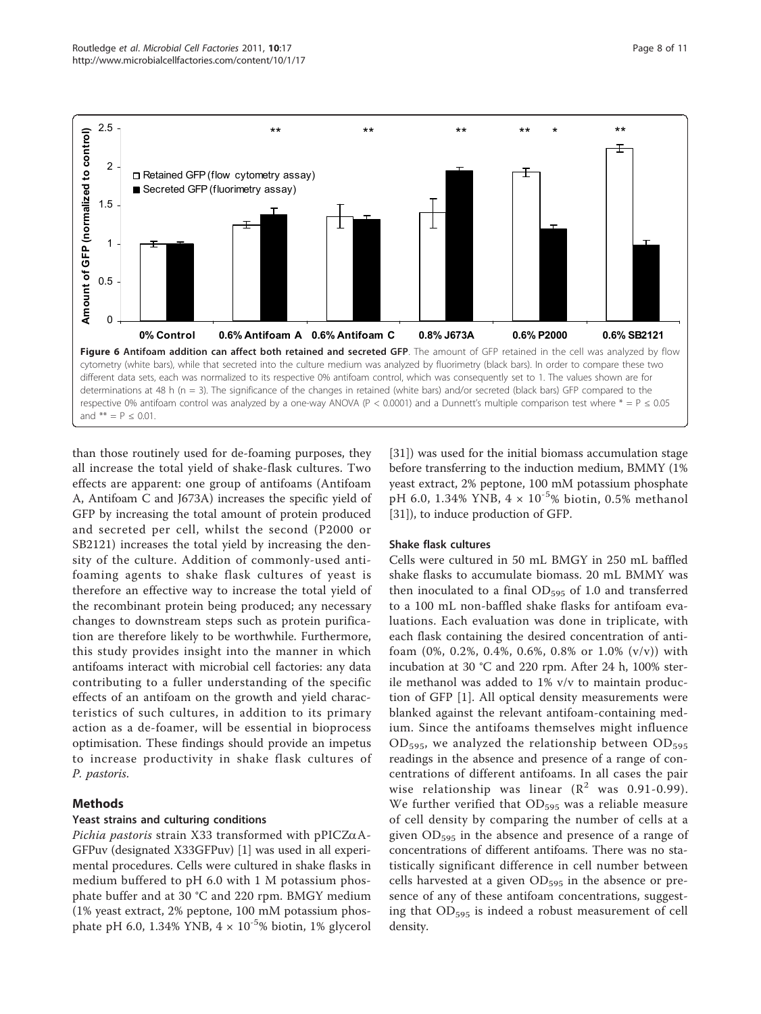<span id="page-7-0"></span>

than those routinely used for de-foaming purposes, they all increase the total yield of shake-flask cultures. Two effects are apparent: one group of antifoams (Antifoam A, Antifoam C and J673A) increases the specific yield of GFP by increasing the total amount of protein produced and secreted per cell, whilst the second (P2000 or SB2121) increases the total yield by increasing the density of the culture. Addition of commonly-used antifoaming agents to shake flask cultures of yeast is therefore an effective way to increase the total yield of the recombinant protein being produced; any necessary changes to downstream steps such as protein purification are therefore likely to be worthwhile. Furthermore, this study provides insight into the manner in which antifoams interact with microbial cell factories: any data contributing to a fuller understanding of the specific effects of an antifoam on the growth and yield characteristics of such cultures, in addition to its primary action as a de-foamer, will be essential in bioprocess optimisation. These findings should provide an impetus to increase productivity in shake flask cultures of P. pastoris.

## Methods

## Yeast strains and culturing conditions

Pichia pastoris strain X33 transformed with pPICZ $\alpha$ A-GFPuv (designated X33GFPuv) [\[1](#page-9-0)] was used in all experimental procedures. Cells were cultured in shake flasks in medium buffered to pH 6.0 with 1 M potassium phosphate buffer and at 30 °C and 220 rpm. BMGY medium (1% yeast extract, 2% peptone, 100 mM potassium phosphate pH 6.0, 1.34% YNB,  $4 \times 10^{-5}$ % biotin, 1% glycerol

[[31\]](#page-9-0)) was used for the initial biomass accumulation stage before transferring to the induction medium, BMMY (1% yeast extract, 2% peptone, 100 mM potassium phosphate pH 6.0, 1.34% YNB,  $4 \times 10^{-5}$ % biotin, 0.5% methanol [[31\]](#page-9-0)), to induce production of GFP.

## Shake flask cultures

Cells were cultured in 50 mL BMGY in 250 mL baffled shake flasks to accumulate biomass. 20 mL BMMY was then inoculated to a final  $OD_{595}$  of 1.0 and transferred to a 100 mL non-baffled shake flasks for antifoam evaluations. Each evaluation was done in triplicate, with each flask containing the desired concentration of antifoam (0%, 0.2%, 0.4%, 0.6%, 0.8% or 1.0% (v/v)) with incubation at 30 °C and 220 rpm. After 24 h, 100% sterile methanol was added to 1% v/v to maintain production of GFP [\[1](#page-9-0)]. All optical density measurements were blanked against the relevant antifoam-containing medium. Since the antifoams themselves might influence  $OD_{595}$ , we analyzed the relationship between  $OD_{595}$ readings in the absence and presence of a range of concentrations of different antifoams. In all cases the pair wise relationship was linear  $(R^2$  was 0.91-0.99). We further verified that  $OD_{595}$  was a reliable measure of cell density by comparing the number of cells at a given  $OD_{595}$  in the absence and presence of a range of concentrations of different antifoams. There was no statistically significant difference in cell number between cells harvested at a given  $OD_{595}$  in the absence or presence of any of these antifoam concentrations, suggesting that  $OD_{595}$  is indeed a robust measurement of cell density.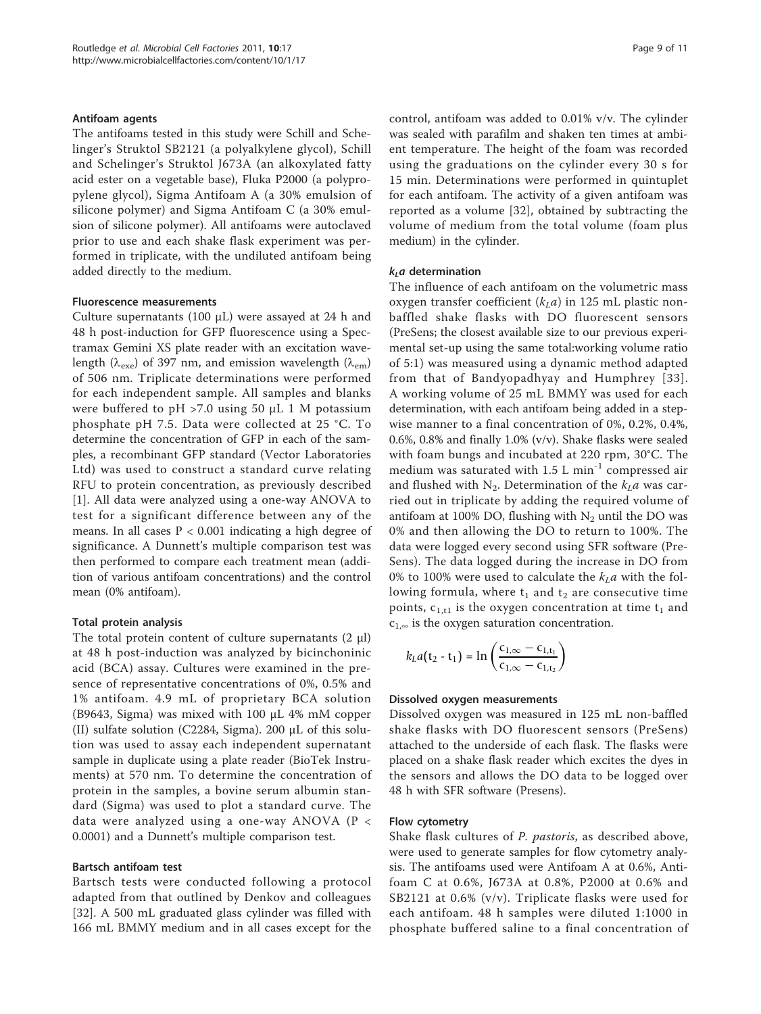#### Antifoam agents

The antifoams tested in this study were Schill and Schelinger's Struktol SB2121 (a polyalkylene glycol), Schill and Schelinger's Struktol J673A (an alkoxylated fatty acid ester on a vegetable base), Fluka P2000 (a polypropylene glycol), Sigma Antifoam A (a 30% emulsion of silicone polymer) and Sigma Antifoam C (a 30% emulsion of silicone polymer). All antifoams were autoclaved prior to use and each shake flask experiment was performed in triplicate, with the undiluted antifoam being added directly to the medium.

#### Fluorescence measurements

Culture supernatants (100 μL) were assayed at 24 h and 48 h post-induction for GFP fluorescence using a Spectramax Gemini XS plate reader with an excitation wavelength ( $\lambda_{\rm exe}$ ) of 397 nm, and emission wavelength ( $\lambda_{\rm em}$ ) of 506 nm. Triplicate determinations were performed for each independent sample. All samples and blanks were buffered to pH >7.0 using 50 μL 1 M potassium phosphate pH 7.5. Data were collected at 25 °C. To determine the concentration of GFP in each of the samples, a recombinant GFP standard (Vector Laboratories Ltd) was used to construct a standard curve relating RFU to protein concentration, as previously described [[1\]](#page-9-0). All data were analyzed using a one-way ANOVA to test for a significant difference between any of the means. In all cases P < 0.001 indicating a high degree of significance. A Dunnett's multiple comparison test was then performed to compare each treatment mean (addition of various antifoam concentrations) and the control mean (0% antifoam).

#### Total protein analysis

The total protein content of culture supernatants  $(2 \mu l)$ at 48 h post-induction was analyzed by bicinchoninic acid (BCA) assay. Cultures were examined in the presence of representative concentrations of 0%, 0.5% and 1% antifoam. 4.9 mL of proprietary BCA solution (B9643, Sigma) was mixed with 100 μL 4% mM copper (II) sulfate solution (C2284, Sigma). 200 μL of this solution was used to assay each independent supernatant sample in duplicate using a plate reader (BioTek Instruments) at 570 nm. To determine the concentration of protein in the samples, a bovine serum albumin standard (Sigma) was used to plot a standard curve. The data were analyzed using a one-way ANOVA (P < 0.0001) and a Dunnett's multiple comparison test.

#### Bartsch antifoam test

Bartsch tests were conducted following a protocol adapted from that outlined by Denkov and colleagues [[32\]](#page-9-0). A 500 mL graduated glass cylinder was filled with 166 mL BMMY medium and in all cases except for the control, antifoam was added to 0.01% v/v. The cylinder was sealed with parafilm and shaken ten times at ambient temperature. The height of the foam was recorded using the graduations on the cylinder every 30 s for 15 min. Determinations were performed in quintuplet for each antifoam. The activity of a given antifoam was reported as a volume [[32](#page-9-0)], obtained by subtracting the volume of medium from the total volume (foam plus medium) in the cylinder.

#### $k<sub>L</sub>a$  determination

The influence of each antifoam on the volumetric mass oxygen transfer coefficient  $(k<sub>L</sub>a)$  in 125 mL plastic nonbaffled shake flasks with DO fluorescent sensors (PreSens; the closest available size to our previous experimental set-up using the same total:working volume ratio of 5:1) was measured using a dynamic method adapted from that of Bandyopadhyay and Humphrey [[33\]](#page-10-0). A working volume of 25 mL BMMY was used for each determination, with each antifoam being added in a stepwise manner to a final concentration of 0%, 0.2%, 0.4%, 0.6%, 0.8% and finally 1.0% (v/v). Shake flasks were sealed with foam bungs and incubated at 220 rpm, 30°C. The medium was saturated with  $1.5$  L min<sup>-1</sup> compressed air and flushed with N<sub>2</sub>. Determination of the  $k<sub>L</sub>a$  was carried out in triplicate by adding the required volume of antifoam at 100% DO, flushing with  $N_2$  until the DO was 0% and then allowing the DO to return to 100%. The data were logged every second using SFR software (Pre-Sens). The data logged during the increase in DO from 0% to 100% were used to calculate the  $k<sub>L</sub>a$  with the following formula, where  $t_1$  and  $t_2$  are consecutive time points,  $c_{1,t1}$  is the oxygen concentration at time  $t_1$  and  $c_{1,\infty}$  is the oxygen saturation concentration.

$$
k_{L}a(t_{2}-t_{1}) = \ln\left(\frac{c_{1,\infty} - c_{1,t_{1}}}{c_{1,\infty} - c_{1,t_{2}}}\right)
$$

#### Dissolved oxygen measurements

Dissolved oxygen was measured in 125 mL non-baffled shake flasks with DO fluorescent sensors (PreSens) attached to the underside of each flask. The flasks were placed on a shake flask reader which excites the dyes in the sensors and allows the DO data to be logged over 48 h with SFR software (Presens).

#### Flow cytometry

Shake flask cultures of P. pastoris, as described above, were used to generate samples for flow cytometry analysis. The antifoams used were Antifoam A at 0.6%, Antifoam C at 0.6%, J673A at 0.8%, P2000 at 0.6% and SB2121 at 0.6% (v/v). Triplicate flasks were used for each antifoam. 48 h samples were diluted 1:1000 in phosphate buffered saline to a final concentration of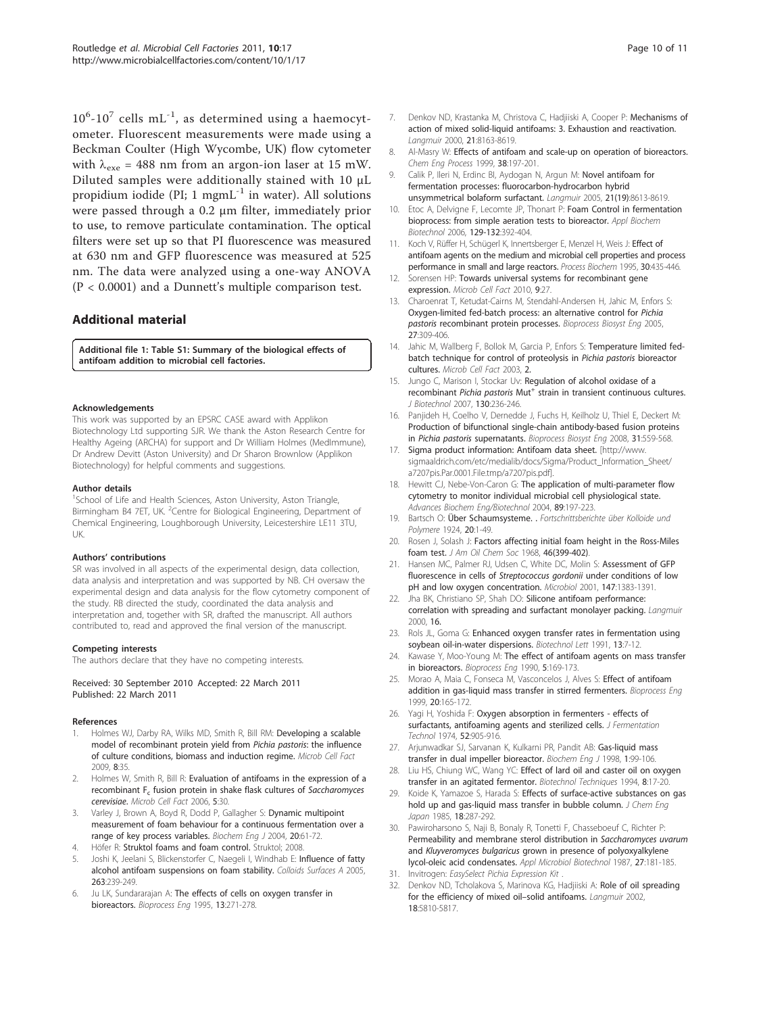<span id="page-9-0"></span> $10^6$ - $10^7$  cells mL<sup>-1</sup>, as determined using a haemocytometer. Fluorescent measurements were made using a Beckman Coulter (High Wycombe, UK) flow cytometer with  $\lambda_{\text{exe}}$  = 488 nm from an argon-ion laser at 15 mW. Diluted samples were additionally stained with 10 μL propidium iodide (PI; 1 mgm $L^{-1}$  in water). All solutions were passed through a 0.2 μm filter, immediately prior to use, to remove particulate contamination. The optical filters were set up so that PI fluorescence was measured at 630 nm and GFP fluorescence was measured at 525 nm. The data were analyzed using a one-way ANOVA (P < 0.0001) and a Dunnett's multiple comparison test.

## Additional material

[Additional file 1: T](http://www.biomedcentral.com/content/supplementary/1475-2859-10-17-S1.DOC)able S1: Summary of the biological effects of antifoam addition to microbial cell factories.

#### Acknowledgements

This work was supported by an EPSRC CASE award with Applikon Biotechnology Ltd supporting SJR. We thank the Aston Research Centre for Healthy Ageing (ARCHA) for support and Dr William Holmes (MedImmune), Dr Andrew Devitt (Aston University) and Dr Sharon Brownlow (Applikon Biotechnology) for helpful comments and suggestions.

#### Author details

<sup>1</sup>School of Life and Health Sciences, Aston University, Aston Triangle, Birmingham B4 7ET, UK. <sup>2</sup>Centre for Biological Engineering, Department of Chemical Engineering, Loughborough University, Leicestershire LE11 3TU, UK.

#### Authors' contributions

SR was involved in all aspects of the experimental design, data collection, data analysis and interpretation and was supported by NB. CH oversaw the experimental design and data analysis for the flow cytometry component of the study. RB directed the study, coordinated the data analysis and interpretation and, together with SR, drafted the manuscript. All authors contributed to, read and approved the final version of the manuscript.

#### Competing interests

The authors declare that they have no competing interests.

#### Received: 30 September 2010 Accepted: 22 March 2011 Published: 22 March 2011

#### References

- 1. Holmes WJ, Darby RA, Wilks MD, Smith R, Bill RM: [Developing a scalable](http://www.ncbi.nlm.nih.gov/pubmed/19570229?dopt=Abstract) [model of recombinant protein yield from](http://www.ncbi.nlm.nih.gov/pubmed/19570229?dopt=Abstract) Pichia pastoris: the influence [of culture conditions, biomass and induction regime.](http://www.ncbi.nlm.nih.gov/pubmed/19570229?dopt=Abstract) Microb Cell Fact 2009, 8:35.
- 2. Holmes W, Smith R, Bill R: [Evaluation of antifoams in the expression of a](http://www.ncbi.nlm.nih.gov/pubmed/17032438?dopt=Abstract) recombinant  $F_c$  [fusion protein in shake flask cultures of](http://www.ncbi.nlm.nih.gov/pubmed/17032438?dopt=Abstract) Saccharomyces [cerevisiae](http://www.ncbi.nlm.nih.gov/pubmed/17032438?dopt=Abstract). Microb Cell Fact 2006, 5:30.
- 3. Varley J, Brown A, Boyd R, Dodd P, Gallagher S: Dynamic multipoint measurement of foam behaviour for a continuous fermentation over a range of key process variables. Biochem Eng J 2004, 20:61-72.
- Höfer R: Struktol foams and foam control. Struktol; 2008.
- 5. Joshi K, Jeelani S, Blickenstorfer C, Naegeli I, Windhab E: Influence of fatty alcohol antifoam suspensions on foam stability. Colloids Surfaces A 2005, 263:239-249.
- 6. Ju LK, Sundararajan A: The effects of cells on oxygen transfer in bioreactors. Bioprocess Eng 1995, 13:271-278.
- 7. Denkov ND, Krastanka M, Christova C, Hadjiiski A, Cooper P: Mechanisms of action of mixed solid-liquid antifoams: 3. Exhaustion and reactivation. Langmuir 2000, 21:8163-8619.
- 8. Al-Masry W: Effects of antifoam and scale-up on operation of bioreactors. Chem Eng Process 1999, 38:197-201.
- Calik P, Ileri N, Erdinc BI, Aydogan N, Argun M: [Novel antifoam for](http://www.ncbi.nlm.nih.gov/pubmed/16142938?dopt=Abstract) [fermentation processes: fluorocarbon-hydrocarbon hybrid](http://www.ncbi.nlm.nih.gov/pubmed/16142938?dopt=Abstract) [unsymmetrical bolaform surfactant.](http://www.ncbi.nlm.nih.gov/pubmed/16142938?dopt=Abstract) Langmuir 2005, 21(19):8613-8619.
- 10. Etoc A, Delvigne F, Lecomte JP, Thonart P: [Foam Control in fermentation](http://www.ncbi.nlm.nih.gov/pubmed/16915656?dopt=Abstract) [bioprocess: from simple aeration tests to bioreactor.](http://www.ncbi.nlm.nih.gov/pubmed/16915656?dopt=Abstract) Appl Biochem Biotechnol 2006, 129-132:392-404.
- 11. Koch V, Rüffer H, Schügerl K, Innertsberger E, Menzel H, Weis J: Effect of antifoam agents on the medium and microbial cell properties and process performance in small and large reactors. Process Biochem 1995, 30:435-446.
- 12. Sorensen HP: [Towards universal systems for recombinant gene](http://www.ncbi.nlm.nih.gov/pubmed/20433754?dopt=Abstract) [expression.](http://www.ncbi.nlm.nih.gov/pubmed/20433754?dopt=Abstract) Microb Cell Fact 2010, 9:27.
- 13. Charoenrat T, Ketudat-Cairns M, Stendahl-Andersen H, Jahic M, Enfors S: Oxygen-limited fed-batch process: an alternative control for Pichia pastoris recombinant protein processes. Bioprocess Biosyst Eng 2005, 27:309-406.
- 14. Jahic M, Wallberg F, Bollok M, Garcia P, Enfors S: [Temperature limited fed](http://www.ncbi.nlm.nih.gov/pubmed/12871597?dopt=Abstract)[batch technique for control of proteolysis in](http://www.ncbi.nlm.nih.gov/pubmed/12871597?dopt=Abstract) Pichia pastoris bioreactor [cultures.](http://www.ncbi.nlm.nih.gov/pubmed/12871597?dopt=Abstract) Microb Cell Fact 2003, 2.
- 15. Jungo C, Marison I, Stockar Uv: [Regulation of alcohol oxidase of a](http://www.ncbi.nlm.nih.gov/pubmed/17566583?dopt=Abstract) recombinant [Pichia](http://www.ncbi.nlm.nih.gov/pubmed/17566583?dopt=Abstract) [pastoris](http://www.ncbi.nlm.nih.gov/pubmed/17566583?dopt=Abstract) Mut<sup>+</sup> [strain in transient continuous cultures.](http://www.ncbi.nlm.nih.gov/pubmed/17566583?dopt=Abstract) J Biotechnol 2007, 130:236-246.
- 16. Panjideh H, Coelho V, Dernedde J, Fuchs H, Keilholz U, Thiel E, Deckert M: [Production of bifunctional single-chain antibody-based fusion proteins](http://www.ncbi.nlm.nih.gov/pubmed/18253756?dopt=Abstract) in [Pichia pastoris](http://www.ncbi.nlm.nih.gov/pubmed/18253756?dopt=Abstract) supernatants. Bioprocess Biosyst Eng 2008, 31:559-568.
- 17. Sigma product information: Antifoam data sheet. [[http://www.](http://www.sigmaaldrich.com/etc/medialib/docs/Sigma/Product_Information_Sheet/a7207pis.Par.0001.File.tmp/a7207pis.pdf) [sigmaaldrich.com/etc/medialib/docs/Sigma/Product\\_Information\\_Sheet/](http://www.sigmaaldrich.com/etc/medialib/docs/Sigma/Product_Information_Sheet/a7207pis.Par.0001.File.tmp/a7207pis.pdf) [a7207pis.Par.0001.File.tmp/a7207pis.pdf\]](http://www.sigmaaldrich.com/etc/medialib/docs/Sigma/Product_Information_Sheet/a7207pis.Par.0001.File.tmp/a7207pis.pdf).
- 18. Hewitt CJ, Nebe-Von-Caron G: The application of multi-parameter flow cytometry to monitor individual microbial cell physiological state. Advances Biochem Eng/Biotechnol 2004, 89:197-223.
- 19. Bartsch O: Über Schaumsysteme. . Fortschrittsberichte über Kolloide und Polymere 1924, 20:1-49.
- 20. Rosen J, Solash J: Factors affecting initial foam height in the Ross-Miles foam test. J Am Oil Chem Soc 1968, 46(399-402).
- 21. Hansen MC, Palmer RJ, Udsen C, White DC, Molin S: Assessment of GFP fluorescence in cells of Streptococcus gordonii under conditions of low pH and low oxygen concentration. Microbiol 2001, 147:1383-1391.
- 22. Jha BK, Christiano SP, Shah DO: Silicone antifoam performance: correlation with spreading and surfactant monolayer packing. Langmuir 2000, 16.
- 23. Rols JL, Goma G: Enhanced oxygen transfer rates in fermentation using soybean oil-in-water dispersions. Biotechnol Lett 1991, 13:7-12.
- 24. Kawase Y, Moo-Young M: The effect of antifoam agents on mass transfer in bioreactors. Bioprocess Eng 1990, 5:169-173.
- 25. Morao A, Maia C, Fonseca M, Vasconcelos J, Alves S: Effect of antifoam addition in gas-liquid mass transfer in stirred fermenters. Bioprocess Eng 1999, 20:165-172.
- 26. Yagi H, Yoshida F: Oxygen absorption in fermenters effects of surfactants, antifoaming agents and sterilized cells. *J Fermentation* Technol 1974, 52:905-916.
- 27. Arjunwadkar SJ, Sarvanan K, Kulkarni PR, Pandit AB: Gas-liquid mass transfer in dual impeller bioreactor. Biochem Eng J 1998, 1:99-106.
- 28. Liu HS, Chiung WC, Wang YC: Effect of lard oil and caster oil on oxygen transfer in an agitated fermentor. Biotechnol Techniques 1994, 8:17-20.
- 29. Koide K, Yamazoe S, Harada S: Effects of surface-active substances on gas hold up and gas-liquid mass transfer in bubble column. J Chem Eng Japan 1985, 18:287-292.
- 30. Pawiroharsono S, Naji B, Bonaly R, Tonetti F, Chasseboeuf C, Richter P: Permeability and membrane sterol distribution in Saccharomyces uvarum and Kluyveromyces bulgaricus grown in presence of polyoxyalkylene lycol-oleic acid condensates. Appl Microbiol Biotechnol 1987, 27:181-185.
- 31. Invitrogen: EasySelect Pichia Expression Kit
- Denkov ND, Tcholakova S, Marinova KG, Hadjiiski A: Role of oil spreading for the efficiency of mixed oil–solid antifoams. Lanamuir 2002. 18:5810-5817.